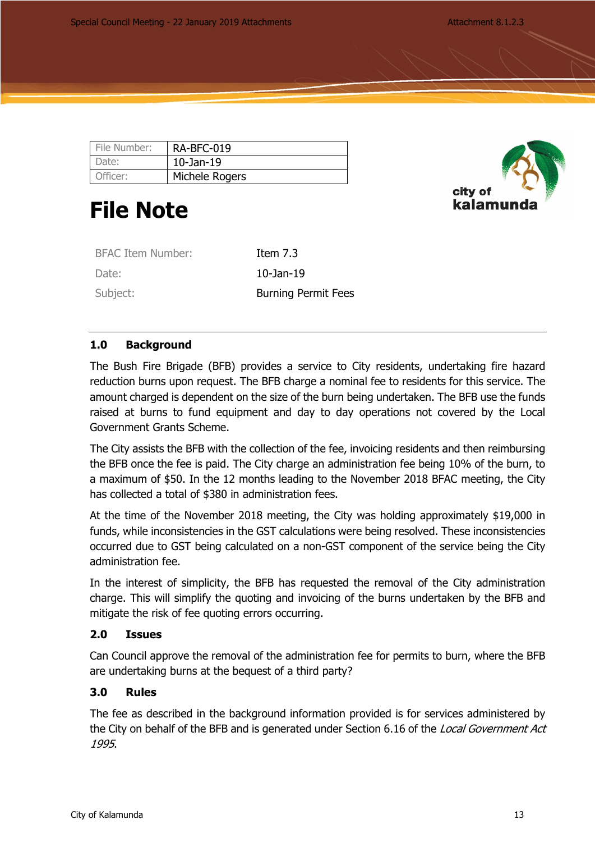| File Number: | RA-BFC-019      |
|--------------|-----------------|
| Date:        | $10$ -Jan- $19$ |
| Officer:     | Michele Rogers  |

# **File Note**



| <b>BFAC Item Number:</b> | Item $7.3$                 |
|--------------------------|----------------------------|
| Date:                    | $10-$ Jan $-19$            |
| Subject:                 | <b>Burning Permit Fees</b> |

## **1.0 Background**

The Bush Fire Brigade (BFB) provides a service to City residents, undertaking fire hazard reduction burns upon request. The BFB charge a nominal fee to residents for this service. The amount charged is dependent on the size of the burn being undertaken. The BFB use the funds raised at burns to fund equipment and day to day operations not covered by the Local Government Grants Scheme.

The City assists the BFB with the collection of the fee, invoicing residents and then reimbursing the BFB once the fee is paid. The City charge an administration fee being 10% of the burn, to a maximum of \$50. In the 12 months leading to the November 2018 BFAC meeting, the City has collected a total of \$380 in administration fees.

At the time of the November 2018 meeting, the City was holding approximately \$19,000 in funds, while inconsistencies in the GST calculations were being resolved. These inconsistencies occurred due to GST being calculated on a non-GST component of the service being the City administration fee.

In the interest of simplicity, the BFB has requested the removal of the City administration charge. This will simplify the quoting and invoicing of the burns undertaken by the BFB and mitigate the risk of fee quoting errors occurring.

## **2.0 Issues**

Can Council approve the removal of the administration fee for permits to burn, where the BFB are undertaking burns at the bequest of a third party?

### **3.0 Rules**

The fee as described in the background information provided is for services administered by the City on behalf of the BFB and is generated under Section 6.16 of the *Local Government Act 1995*.